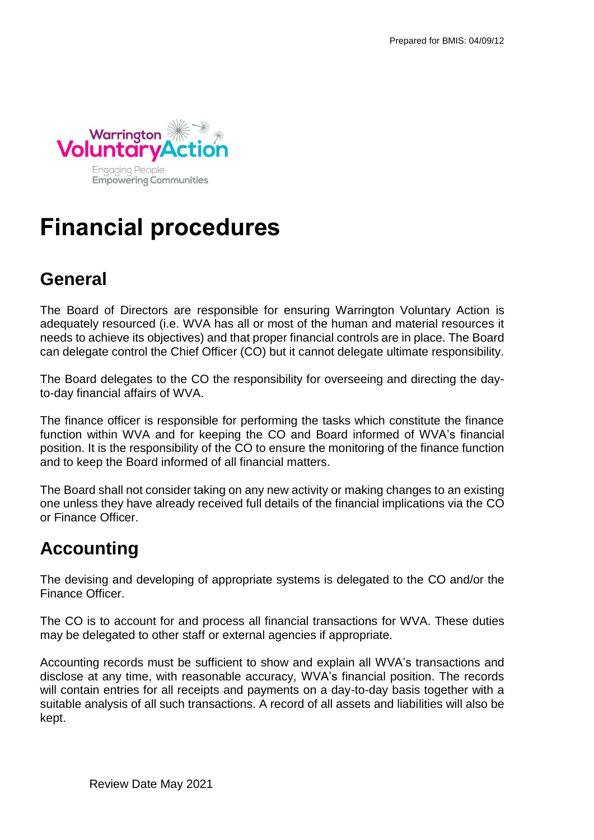

# **Financial procedures**

### **General**

The Board of Directors are responsible for ensuring Warrington Voluntary Action is adequately resourced (i.e. WVA has all or most of the human and material resources it needs to achieve its objectives) and that proper financial controls are in place. The Board can delegate control the Chief Officer (CO) but it cannot delegate ultimate responsibility.

The Board delegates to the CO the responsibility for overseeing and directing the dayto-day financial affairs of WVA.

The finance officer is responsible for performing the tasks which constitute the finance function within WVA and for keeping the CO and Board informed of WVA's financial position. It is the responsibility of the CO to ensure the monitoring of the finance function and to keep the Board informed of all financial matters.

The Board shall not consider taking on any new activity or making changes to an existing one unless they have already received full details of the financial implications via the CO or Finance Officer.

# **Accounting**

The devising and developing of appropriate systems is delegated to the CO and/or the Finance Officer.

The CO is to account for and process all financial transactions for WVA. These duties may be delegated to other staff or external agencies if appropriate.

Accounting records must be sufficient to show and explain all WVA's transactions and disclose at any time, with reasonable accuracy, WVA's financial position. The records will contain entries for all receipts and payments on a day-to-day basis together with a suitable analysis of all such transactions. A record of all assets and liabilities will also be kept.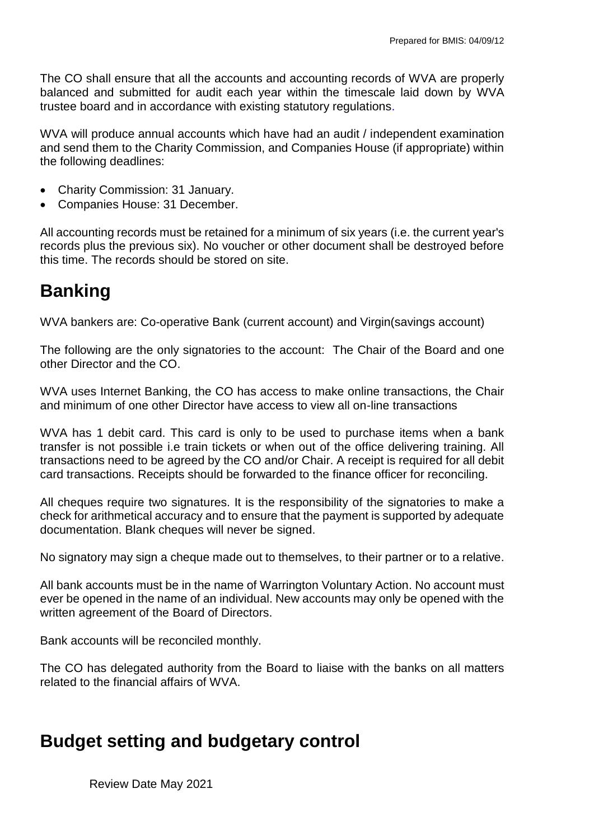The CO shall ensure that all the accounts and accounting records of WVA are properly balanced and submitted for audit each year within the timescale laid down by WVA trustee board and in accordance with existing statutory regulations.

WVA will produce annual accounts which have had an audit / independent examination and send them to the Charity Commission, and Companies House (if appropriate) within the following deadlines:

- Charity Commission: 31 January.
- Companies House: 31 December.

All accounting records must be retained for a minimum of six years (i.e. the current year's records plus the previous six). No voucher or other document shall be destroyed before this time. The records should be stored on site.

# **Banking**

WVA bankers are: Co-operative Bank (current account) and Virgin(savings account)

The following are the only signatories to the account: The Chair of the Board and one other Director and the CO.

WVA uses Internet Banking, the CO has access to make online transactions, the Chair and minimum of one other Director have access to view all on-line transactions

WVA has 1 debit card. This card is only to be used to purchase items when a bank transfer is not possible i.e train tickets or when out of the office delivering training. All transactions need to be agreed by the CO and/or Chair. A receipt is required for all debit card transactions. Receipts should be forwarded to the finance officer for reconciling.

All cheques require two signatures. It is the responsibility of the signatories to make a check for arithmetical accuracy and to ensure that the payment is supported by adequate documentation. Blank cheques will never be signed.

No signatory may sign a cheque made out to themselves, to their partner or to a relative.

All bank accounts must be in the name of Warrington Voluntary Action. No account must ever be opened in the name of an individual. New accounts may only be opened with the written agreement of the Board of Directors.

Bank accounts will be reconciled monthly.

The CO has delegated authority from the Board to liaise with the banks on all matters related to the financial affairs of WVA.

#### **Budget setting and budgetary control**

Review Date May 2021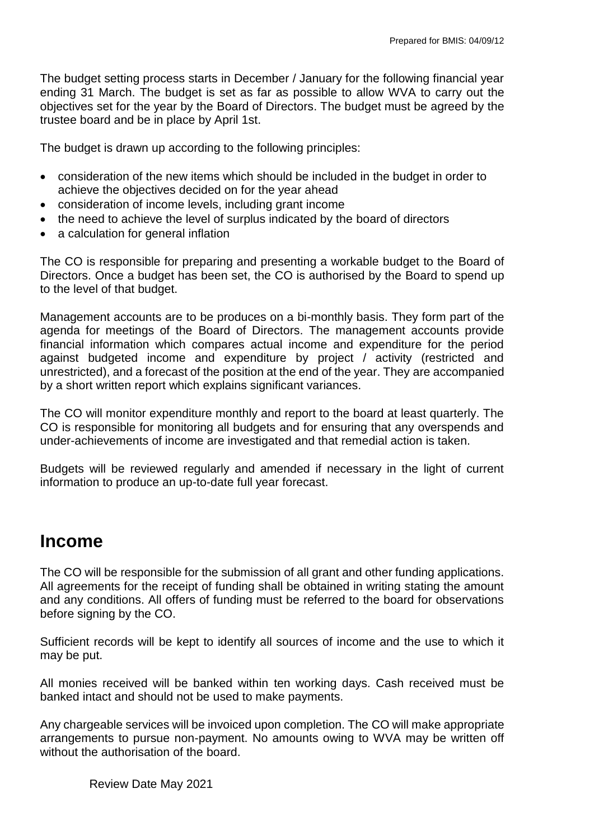The budget setting process starts in December / January for the following financial year ending 31 March. The budget is set as far as possible to allow WVA to carry out the objectives set for the year by the Board of Directors. The budget must be agreed by the trustee board and be in place by April 1st.

The budget is drawn up according to the following principles:

- consideration of the new items which should be included in the budget in order to achieve the objectives decided on for the year ahead
- consideration of income levels, including grant income
- the need to achieve the level of surplus indicated by the board of directors
- a calculation for general inflation

The CO is responsible for preparing and presenting a workable budget to the Board of Directors. Once a budget has been set, the CO is authorised by the Board to spend up to the level of that budget.

Management accounts are to be produces on a bi-monthly basis. They form part of the agenda for meetings of the Board of Directors. The management accounts provide financial information which compares actual income and expenditure for the period against budgeted income and expenditure by project / activity (restricted and unrestricted), and a forecast of the position at the end of the year. They are accompanied by a short written report which explains significant variances.

The CO will monitor expenditure monthly and report to the board at least quarterly. The CO is responsible for monitoring all budgets and for ensuring that any overspends and under-achievements of income are investigated and that remedial action is taken.

Budgets will be reviewed regularly and amended if necessary in the light of current information to produce an up-to-date full year forecast.

#### **Income**

The CO will be responsible for the submission of all grant and other funding applications. All agreements for the receipt of funding shall be obtained in writing stating the amount and any conditions. All offers of funding must be referred to the board for observations before signing by the CO.

Sufficient records will be kept to identify all sources of income and the use to which it may be put.

All monies received will be banked within ten working days. Cash received must be banked intact and should not be used to make payments.

Any chargeable services will be invoiced upon completion. The CO will make appropriate arrangements to pursue non-payment. No amounts owing to WVA may be written off without the authorisation of the board.

Review Date May 2021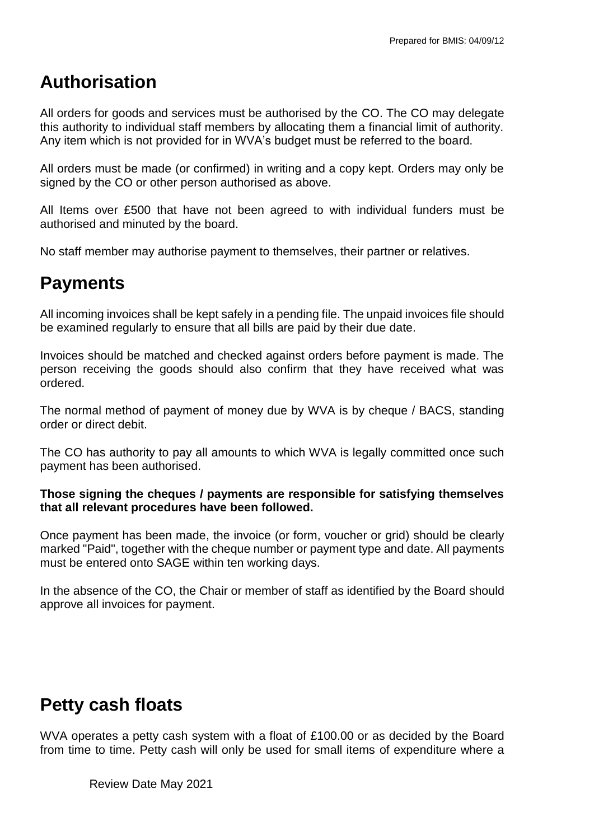#### **Authorisation**

All orders for goods and services must be authorised by the CO. The CO may delegate this authority to individual staff members by allocating them a financial limit of authority. Any item which is not provided for in WVA's budget must be referred to the board.

All orders must be made (or confirmed) in writing and a copy kept. Orders may only be signed by the CO or other person authorised as above.

All Items over £500 that have not been agreed to with individual funders must be authorised and minuted by the board.

No staff member may authorise payment to themselves, their partner or relatives.

### **Payments**

All incoming invoices shall be kept safely in a pending file. The unpaid invoices file should be examined regularly to ensure that all bills are paid by their due date.

Invoices should be matched and checked against orders before payment is made. The person receiving the goods should also confirm that they have received what was ordered.

The normal method of payment of money due by WVA is by cheque / BACS, standing order or direct debit.

The CO has authority to pay all amounts to which WVA is legally committed once such payment has been authorised.

#### **Those signing the cheques / payments are responsible for satisfying themselves that all relevant procedures have been followed.**

Once payment has been made, the invoice (or form, voucher or grid) should be clearly marked "Paid", together with the cheque number or payment type and date. All payments must be entered onto SAGE within ten working days.

In the absence of the CO, the Chair or member of staff as identified by the Board should approve all invoices for payment.

# **Petty cash floats**

WVA operates a petty cash system with a float of £100.00 or as decided by the Board from time to time. Petty cash will only be used for small items of expenditure where a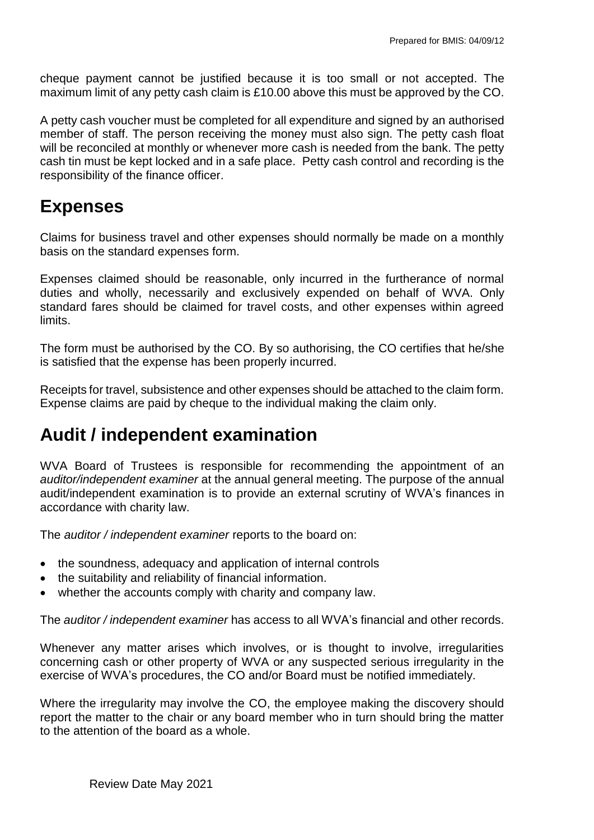cheque payment cannot be justified because it is too small or not accepted. The maximum limit of any petty cash claim is £10.00 above this must be approved by the CO.

A petty cash voucher must be completed for all expenditure and signed by an authorised member of staff. The person receiving the money must also sign. The petty cash float will be reconciled at monthly or whenever more cash is needed from the bank. The petty cash tin must be kept locked and in a safe place. Petty cash control and recording is the responsibility of the finance officer.

#### **Expenses**

Claims for business travel and other expenses should normally be made on a monthly basis on the standard expenses form.

Expenses claimed should be reasonable, only incurred in the furtherance of normal duties and wholly, necessarily and exclusively expended on behalf of WVA. Only standard fares should be claimed for travel costs, and other expenses within agreed limits.

The form must be authorised by the CO. By so authorising, the CO certifies that he/she is satisfied that the expense has been properly incurred.

Receipts for travel, subsistence and other expenses should be attached to the claim form. Expense claims are paid by cheque to the individual making the claim only.

### **Audit / independent examination**

WVA Board of Trustees is responsible for recommending the appointment of an *auditor/independent examiner* at the annual general meeting. The purpose of the annual audit/independent examination is to provide an external scrutiny of WVA's finances in accordance with charity law.

The *auditor / independent examiner* reports to the board on:

- the soundness, adequacy and application of internal controls
- the suitability and reliability of financial information.
- whether the accounts comply with charity and company law.

The *auditor / independent examiner* has access to all WVA's financial and other records.

Whenever any matter arises which involves, or is thought to involve, irregularities concerning cash or other property of WVA or any suspected serious irregularity in the exercise of WVA's procedures, the CO and/or Board must be notified immediately.

Where the irregularity may involve the CO, the employee making the discovery should report the matter to the chair or any board member who in turn should bring the matter to the attention of the board as a whole.